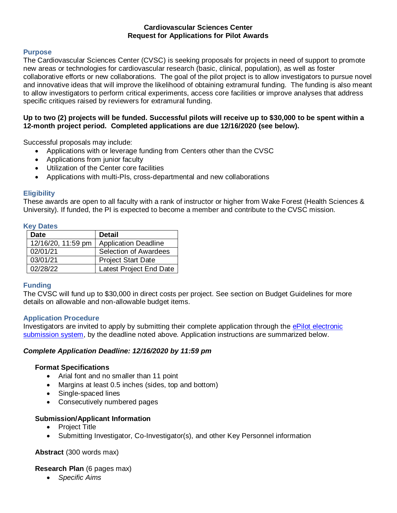## **Cardiovascular Sciences Center Request for Applications for Pilot Awards**

## **Purpose**

The Cardiovascular Sciences Center (CVSC) is seeking proposals for projects in need of support to promote new areas or technologies for cardiovascular research (basic, clinical, population), as well as foster collaborative efforts or new collaborations. The goal of the pilot project is to allow investigators to pursue novel and innovative ideas that will improve the likelihood of obtaining extramural funding. The funding is also meant to allow investigators to perform critical experiments, access core facilities or improve analyses that address specific critiques raised by reviewers for extramural funding.

## **Up to two (2) projects will be funded. Successful pilots will receive up to \$30,000 to be spent within a 12-month project period. Completed applications are due 12/16/2020 (see below).**

Successful proposals may include:

- Applications with or leverage funding from Centers other than the CVSC
- Applications from junior faculty
- Utilization of the Center core facilities
- Applications with multi-PIs, cross-departmental and new collaborations

### **Eligibility**

These awards are open to all faculty with a rank of instructor or higher from Wake Forest (Health Sciences & University). If funded, the PI is expected to become a member and contribute to the CVSC mission.

### **Key Dates**

| <b>Date</b>        | <b>Detail</b>               |  |  |  |
|--------------------|-----------------------------|--|--|--|
| 12/16/20, 11:59 pm | <b>Application Deadline</b> |  |  |  |
| 02/01/21           | Selection of Awardees       |  |  |  |
| 03/01/21           | <b>Project Start Date</b>   |  |  |  |
| 02/28/22           | Latest Project End Date     |  |  |  |

## **Funding**

The CVSC will fund up to \$30,000 in direct costs per project. See section on Budget Guidelines for more details on allowable and non-allowable budget items.

#### **Application Procedure**

Investigators are invited to apply by submitting their complete application through the ePilot [electronic](https://redcap.wakehealth.edu/redcap/surveys/?s=XC3433JY89)  [submission system,](https://redcap.wakehealth.edu/redcap/surveys/?s=XC3433JY89) by the deadline noted above. Application instructions are summarized below.

## *Complete Application Deadline: 12/16/2020 by 11:59 pm*

## **Format Specifications**

- Arial font and no smaller than 11 point
- Margins at least 0.5 inches (sides, top and bottom)
- Single-spaced lines
- Consecutively numbered pages

## **Submission/Applicant Information**

- Project Title
- Submitting Investigator, Co-Investigator(s), and other Key Personnel information

**Abstract** (300 words max)

## **Research Plan** (6 pages max)

*Specific Aims*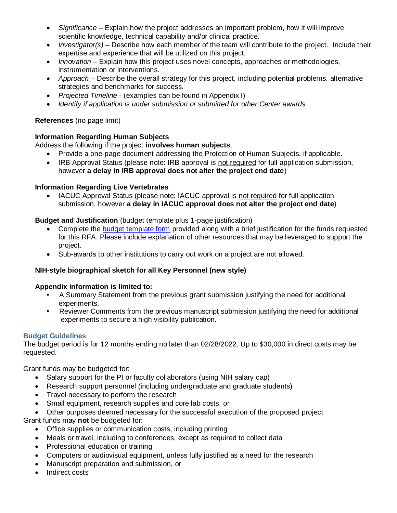- *Significance* Explain how the project addresses an important problem, how it will improve scientific knowledge, technical capability and/or clinical practice.
- *Investigator(s)* Describe how each member of the team will contribute to the project. Include their expertise and experience that will be utilized on this project.
- *Innovation* Explain how this project uses novel concepts, approaches or methodologies, instrumentation or interventions.
- *Approach* Describe the overall strategy for this project, including potential problems, alternative strategies and benchmarks for success.
- *Projected Timeline* (examples can be found in Appendix I)
- *Identify if application is under submission or submitted for other Center awards*

# **References** (no page limit)

# **Information Regarding Human Subjects**

Address the following if the project **involves human subjects**.

- Provide a one-page document addressing the Protection of Human Subjects, if applicable.
- IRB Approval Status (please note: IRB approval is not required for full application submission, however **a delay in IRB approval does not alter the project end date**)

# **Information Regarding Live Vertebrates**

• IACUC Approval Status (please note: IACUC approval is not required for full application submission, however **a delay in IACUC approval does not alter the project end date**)

# **Budget and Justification** (budget template plus 1-page justification)

- Complete the [budget template form](https://wakehealth.sharepoint.com/:x:/r/teams/CTSIWebCollection/Shared%20Documents/CSTI-Public/CTSI%20Pilot%20Budget%20Template.xlsx) provided along with a brief justification for the funds requested for this RFA. Please include explanation of other resources that may be leveraged to support the project.
- Sub-awards to other institutions to carry out work on a project are not allowed.

# **NIH-style biographical sketch for all Key Personnel (new style)**

## **Appendix information is limited to:**

- A Summary Statement from the previous grant submission justifying the need for additional experiments.
- Reviewer Comments from the previous manuscript submission justifying the need for additional experiments to secure a high visibility publication.

## **Budget Guidelines**

The budget period is for 12 months ending no later than 02/28/2022. Up to \$30,000 in direct costs may be requested.

Grant funds may be budgeted for:

- Salary support for the PI or faculty collaborators (using NIH salary cap)
- Research support personnel (including undergraduate and graduate students)
- Travel necessary to perform the research
- Small equipment, research supplies and core lab costs, or
- Other purposes deemed necessary for the successful execution of the proposed project

Grant funds may **not** be budgeted for:

- Office supplies or communication costs, including printing
- Meals or travel, including to conferences, except as required to collect data
- Professional education or training
- Computers or audiovisual equipment, unless fully justified as a need for the research
- Manuscript preparation and submission, or
- Indirect costs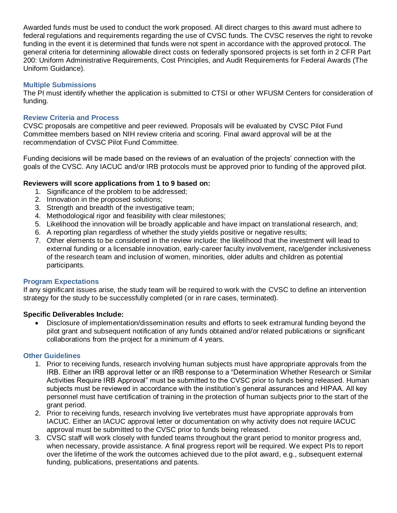Awarded funds must be used to conduct the work proposed. All direct charges to this award must adhere to federal regulations and requirements regarding the use of CVSC funds. The CVSC reserves the right to revoke funding in the event it is determined that funds were not spent in accordance with the approved protocol. The general criteria for determining allowable direct costs on federally sponsored projects is set forth in 2 CFR Part 200: Uniform Administrative Requirements, Cost Principles, and Audit Requirements for Federal Awards (The Uniform Guidance).

### **Multiple Submissions**

The PI must identify whether the application is submitted to CTSI or other WFUSM Centers for consideration of funding.

## **Review Criteria and Process**

CVSC proposals are competitive and peer reviewed. Proposals will be evaluated by CVSC Pilot Fund Committee members based on NIH review criteria and scoring. Final award approval will be at the recommendation of CVSC Pilot Fund Committee.

Funding decisions will be made based on the reviews of an evaluation of the projects' connection with the goals of the CVSC. Any IACUC and/or IRB protocols must be approved prior to funding of the approved pilot.

# **Reviewers will score applications from 1 to 9 based on:**

- 1. Significance of the problem to be addressed;
- 2. Innovation in the proposed solutions;
- 3. Strength and breadth of the investigative team;
- 4. Methodological rigor and feasibility with clear milestones;
- 5. Likelihood the innovation will be broadly applicable and have impact on translational research, and;
- 6. A reporting plan regardless of whether the study yields positive or negative results;
- 7. Other elements to be considered in the review include: the likelihood that the investment will lead to external funding or a licensable innovation, early-career faculty involvement, race/gender inclusiveness of the research team and inclusion of women, minorities, older adults and children as potential participants.

## **Program Expectations**

If any significant issues arise, the study team will be required to work with the CVSC to define an intervention strategy for the study to be successfully completed (or in rare cases, terminated).

## **Specific Deliverables Include:**

 Disclosure of implementation/dissemination results and efforts to seek extramural funding beyond the pilot grant and subsequent notification of any funds obtained and/or related publications or significant collaborations from the project for a minimum of 4 years.

## **Other Guidelines**

- 1. Prior to receiving funds, research involving human subjects must have appropriate approvals from the IRB. Either an IRB approval letter or an IRB response to a "Determination Whether Research or Similar Activities Require IRB Approval" must be submitted to the CVSC prior to funds being released. Human subjects must be reviewed in accordance with the institution's general assurances and HIPAA. All key personnel must have certification of training in the protection of human subjects prior to the start of the grant period.
- 2. Prior to receiving funds, research involving live vertebrates must have appropriate approvals from IACUC. Either an IACUC approval letter or documentation on why activity does not require IACUC approval must be submitted to the CVSC prior to funds being released.
- 3. CVSC staff will work closely with funded teams throughout the grant period to monitor progress and, when necessary, provide assistance. A final progress report will be required. We expect PIs to report over the lifetime of the work the outcomes achieved due to the pilot award, e.g., subsequent external funding, publications, presentations and patents.